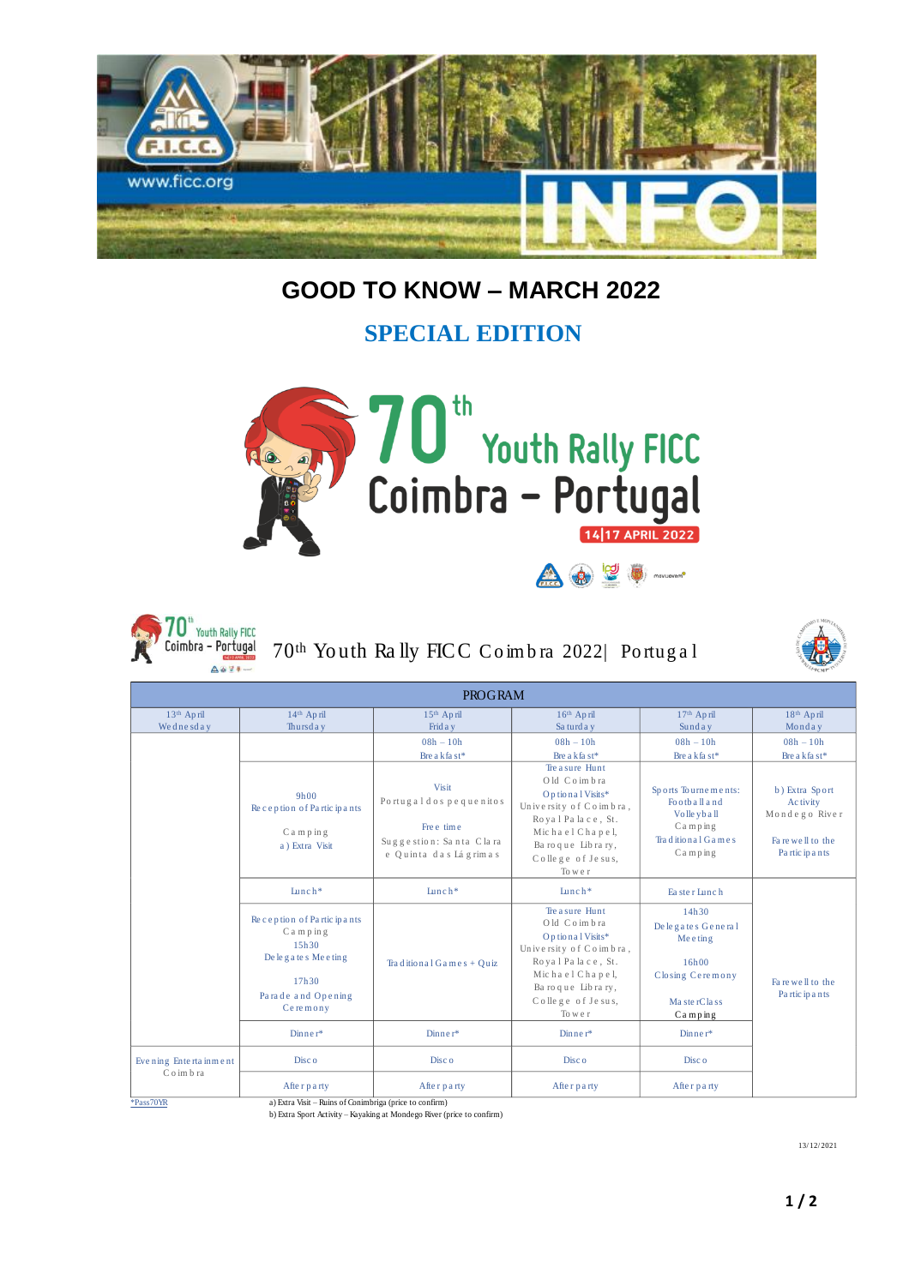

## **GOOD TO KNOW – MARCH 2022**

## **SPECIAL EDITION**





70th Yo uth Ra lly FICC Co im b ra 2022| Po rtug a l



| <b>PROGRAM</b>                                  |                                                                                                                |                                                                                                    |                                                                                                                                                                           |                                                                                                                      |                                                                                      |
|-------------------------------------------------|----------------------------------------------------------------------------------------------------------------|----------------------------------------------------------------------------------------------------|---------------------------------------------------------------------------------------------------------------------------------------------------------------------------|----------------------------------------------------------------------------------------------------------------------|--------------------------------------------------------------------------------------|
| 13th April<br>Wednesday                         | 14th April<br>Thursday                                                                                         | 15 <sup>th</sup> April<br>Frid a y                                                                 | 16th April<br>Sa turd a y                                                                                                                                                 | 17th April<br>Sunday                                                                                                 | 18th April<br>Monday                                                                 |
|                                                 |                                                                                                                | $08h - 10h$<br>Bre a kfa st*                                                                       | $08h - 10h$<br>Bre a kfa st*                                                                                                                                              | $08h - 10h$<br>Bre a kfa st*                                                                                         | $08h - 10h$<br>Bre a kfa st*                                                         |
|                                                 | 9h00<br>Reception of Participants<br>Camping<br>a) Extra Visit                                                 | Visit<br>Portugal dos pequenitos<br>Fre e time<br>Suggestion: Santa Clara<br>e Quinta das Lágrimas | Tre a sure Hunt<br>Old Coimbra<br>Op tional Visits*<br>University of Coimbra,<br>Royal Palace, St.<br>Michael Chapel,<br>Baroque Library,<br>College of Jesus,<br>To we r | Sports Tournements:<br>Foothall and<br>Volle yb all<br>$C$ a m $p$ in $g$<br>Traditional Games<br>$Can$ $p$ $in$ $g$ | b) Extra Sport<br>Ac tivity<br>Mondego River<br>Fa re well to the<br>Partic ip a nts |
|                                                 | $L$ unch*                                                                                                      | $L$ unch*                                                                                          | Lunch*                                                                                                                                                                    | Ea ster Lunch                                                                                                        | Fa re well to the<br>Partic ip a nts                                                 |
|                                                 | Reception of Participants<br>Camping<br>15h30<br>De legates Meeting<br>17h30<br>Parade and Opening<br>Ceremony | Traditional Games + Quiz                                                                           | Tre a sure Hunt<br>Old Coimbra<br>Optional Visits*<br>University of Coimbra,<br>Royal Palace, St.<br>Michael Chapel,<br>Baroque Library,<br>College of Jesus,<br>To we r  | 14h30<br>De legates General<br>Me e ting<br>16h00<br>Closing Ceremony<br>MasterClass<br>$Can$ $p$ in $g$             |                                                                                      |
|                                                 | $D$ inner*                                                                                                     | Dinner*                                                                                            | $D$ inner*                                                                                                                                                                | $D$ inner*                                                                                                           |                                                                                      |
| Evening Entertainment<br>Coimbra<br>$*Pass70YR$ | Disc <sub>o</sub>                                                                                              | Disc <sub>o</sub>                                                                                  | Disc <sub>o</sub>                                                                                                                                                         | Disc o                                                                                                               |                                                                                      |
|                                                 | After party<br>a) Extra Visit – Ruins of Conimbriga (price to confirm)                                         | After party                                                                                        | After party                                                                                                                                                               | After party                                                                                                          |                                                                                      |

\*<u>Pass70YR</u> a) Extra Visit – Ruins of Conimbriga (price to confirm)<br>b) Extra Sport Activity – Kayaking at Mondego River (price to confirm)

13/ 12/ 2021